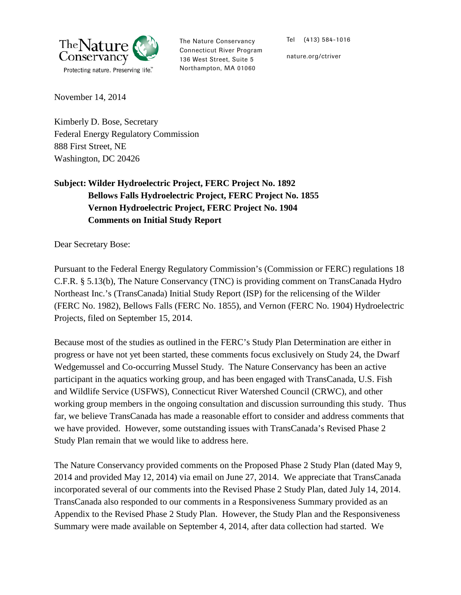

The Nature Conservancy Connecticut River Program 136 West Street, Suite 5 Northampton, MA 01060

Tel (413) 584-1016

nature.org/ctriver

November 14, 2014

Kimberly D. Bose, Secretary Federal Energy Regulatory Commission 888 First Street, NE Washington, DC 20426

# **Subject: Wilder Hydroelectric Project, FERC Project No. 1892 Bellows Falls Hydroelectric Project, FERC Project No. 1855 Vernon Hydroelectric Project, FERC Project No. 1904 Comments on Initial Study Report**

Dear Secretary Bose:

Pursuant to the Federal Energy Regulatory Commission's (Commission or FERC) regulations 18 C.F.R. § 5.13(b), The Nature Conservancy (TNC) is providing comment on TransCanada Hydro Northeast Inc.'s (TransCanada) Initial Study Report (ISP) for the relicensing of the Wilder (FERC No. 1982), Bellows Falls (FERC No. 1855), and Vernon (FERC No. 1904) Hydroelectric Projects, filed on September 15, 2014.

Because most of the studies as outlined in the FERC's Study Plan Determination are either in progress or have not yet been started, these comments focus exclusively on Study 24, the Dwarf Wedgemussel and Co-occurring Mussel Study. The Nature Conservancy has been an active participant in the aquatics working group, and has been engaged with TransCanada, U.S. Fish and Wildlife Service (USFWS), Connecticut River Watershed Council (CRWC), and other working group members in the ongoing consultation and discussion surrounding this study. Thus far, we believe TransCanada has made a reasonable effort to consider and address comments that we have provided. However, some outstanding issues with TransCanada's Revised Phase 2 Study Plan remain that we would like to address here.

The Nature Conservancy provided comments on the Proposed Phase 2 Study Plan (dated May 9, 2014 and provided May 12, 2014) via email on June 27, 2014. We appreciate that TransCanada incorporated several of our comments into the Revised Phase 2 Study Plan, dated July 14, 2014. TransCanada also responded to our comments in a Responsiveness Summary provided as an Appendix to the Revised Phase 2 Study Plan. However, the Study Plan and the Responsiveness Summary were made available on September 4, 2014, after data collection had started. We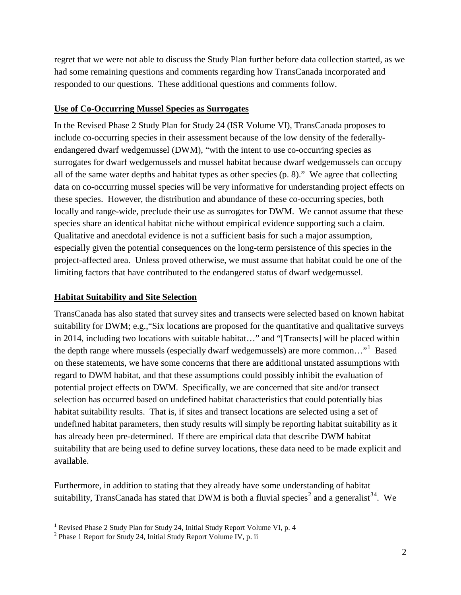regret that we were not able to discuss the Study Plan further before data collection started, as we had some remaining questions and comments regarding how TransCanada incorporated and responded to our questions. These additional questions and comments follow.

#### **Use of Co-Occurring Mussel Species as Surrogates**

In the Revised Phase 2 Study Plan for Study 24 (ISR Volume VI), TransCanada proposes to include co-occurring species in their assessment because of the low density of the federallyendangered dwarf wedgemussel (DWM), "with the intent to use co-occurring species as surrogates for dwarf wedgemussels and mussel habitat because dwarf wedgemussels can occupy all of the same water depths and habitat types as other species (p. 8)." We agree that collecting data on co-occurring mussel species will be very informative for understanding project effects on these species. However, the distribution and abundance of these co-occurring species, both locally and range-wide, preclude their use as surrogates for DWM. We cannot assume that these species share an identical habitat niche without empirical evidence supporting such a claim. Qualitative and anecdotal evidence is not a sufficient basis for such a major assumption, especially given the potential consequences on the long-term persistence of this species in the project-affected area. Unless proved otherwise, we must assume that habitat could be one of the limiting factors that have contributed to the endangered status of dwarf wedgemussel.

#### **Habitat Suitability and Site Selection**

TransCanada has also stated that survey sites and transects were selected based on known habitat suitability for DWM; e.g.,"Six locations are proposed for the quantitative and qualitative surveys in 2014, including two locations with suitable habitat…" and "[Transects] will be placed within the depth range where mussels (especially dwarf wedgemussels) are more common..."<sup>[1](#page-1-0)</sup> Based on these statements, we have some concerns that there are additional unstated assumptions with regard to DWM habitat, and that these assumptions could possibly inhibit the evaluation of potential project effects on DWM. Specifically, we are concerned that site and/or transect selection has occurred based on undefined habitat characteristics that could potentially bias habitat suitability results. That is, if sites and transect locations are selected using a set of undefined habitat parameters, then study results will simply be reporting habitat suitability as it has already been pre-determined. If there are empirical data that describe DWM habitat suitability that are being used to define survey locations, these data need to be made explicit and available.

<span id="page-1-3"></span><span id="page-1-2"></span>Furthermore, in addition to stating that they already have some understanding of habitat suitability, TransCanada has stated that DWM is both a fluvial species<sup>[2](#page-1-1)</sup> and a generalist<sup>[3](#page-1-2)[4](#page-1-3)</sup>. We

<span id="page-1-0"></span><sup>&</sup>lt;sup>1</sup> Revised Phase 2 Study Plan for Study 24, Initial Study Report Volume VI, p. 4

<span id="page-1-1"></span><sup>2</sup> Phase 1 Report for Study 24, Initial Study Report Volume IV, p. ii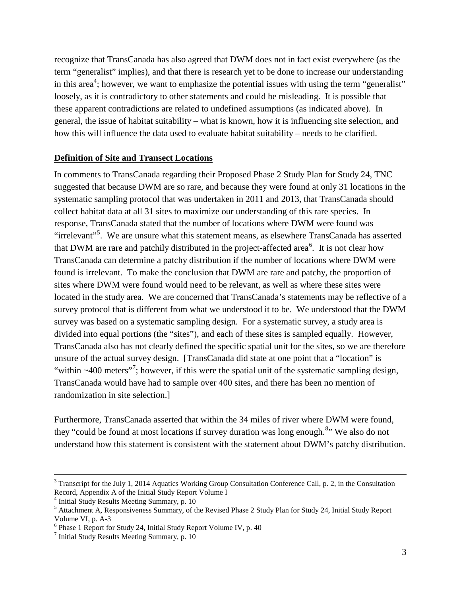recognize that TransCanada has also agreed that DWM does not in fact exist everywhere (as the term "generalist" implies), and that there is research yet to be done to increase our understanding in this area<sup>4</sup>; however, we want to emphasize the potential issues with using the term "generalist" loosely, as it is contradictory to other statements and could be misleading. It is possible that these apparent contradictions are related to undefined assumptions (as indicated above). In general, the issue of habitat suitability – what is known, how it is influencing site selection, and how this will influence the data used to evaluate habitat suitability – needs to be clarified.

#### **Definition of Site and Transect Locations**

In comments to TransCanada regarding their Proposed Phase 2 Study Plan for Study 24, TNC suggested that because DWM are so rare, and because they were found at only 31 locations in the systematic sampling protocol that was undertaken in 2011 and 2013, that TransCanada should collect habitat data at all 31 sites to maximize our understanding of this rare species. In response, TransCanada stated that the number of locations where DWM were found was "irrelevant"<sup>[5](#page-2-0)</sup>. We are unsure what this statement means, as elsewhere TransCanada has asserted that DWM are rare and patchily distributed in the project-affected area<sup>[6](#page-2-1)</sup>. It is not clear how TransCanada can determine a patchy distribution if the number of locations where DWM were found is irrelevant. To make the conclusion that DWM are rare and patchy, the proportion of sites where DWM were found would need to be relevant, as well as where these sites were located in the study area. We are concerned that TransCanada's statements may be reflective of a survey protocol that is different from what we understood it to be. We understood that the DWM survey was based on a systematic sampling design. For a systematic survey, a study area is divided into equal portions (the "sites"), and each of these sites is sampled equally. However, TransCanada also has not clearly defined the specific spatial unit for the sites, so we are therefore unsure of the actual survey design. [TransCanada did state at one point that a "location" is "within  $\sim$ 400 meters"<sup>[7](#page-2-2)</sup>; however, if this were the spatial unit of the systematic sampling design, TransCanada would have had to sample over 400 sites, and there has been no mention of randomization in site selection.]

Furthermore, TransCanada asserted that within the 34 miles of river where DWM were found, they "could be found at most locations if survey duration was long enough.<sup>[8](#page-2-3)</sup>" We also do not understand how this statement is consistent with the statement about DWM's patchy distribution.

<span id="page-2-3"></span><sup>&</sup>lt;sup>3</sup> Transcript for the July 1, 2014 Aquatics Working Group Consultation Conference Call, p. 2, in the Consultation Record, Appendix A of the Initial Study Report Volume I

<sup>4</sup> Initial Study Results Meeting Summary, p. 10

<span id="page-2-0"></span><sup>&</sup>lt;sup>5</sup> Attachment A, Responsiveness Summary, of the Revised Phase 2 Study Plan for Study 24, Initial Study Report Volume VI, p. A-3<br><sup>6</sup> Phase 1 Report for Study 24, Initial Study Report Volume IV, p. 40

<span id="page-2-1"></span>

<span id="page-2-2"></span> $<sup>7</sup>$  Initial Study Results Meeting Summary, p. 10</sup>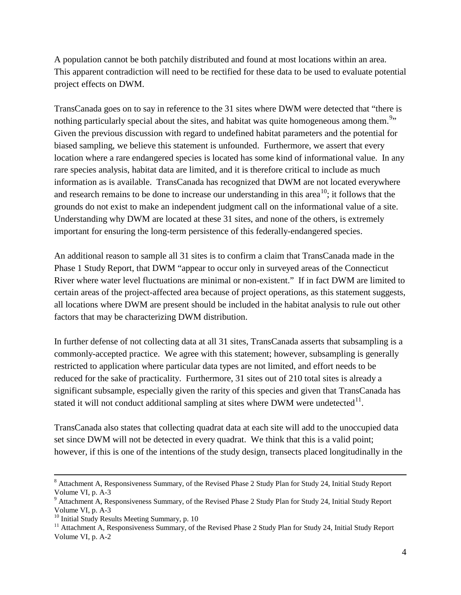A population cannot be both patchily distributed and found at most locations within an area. This apparent contradiction will need to be rectified for these data to be used to evaluate potential project effects on DWM.

TransCanada goes on to say in reference to the 31 sites where DWM were detected that "there is nothing particularly special about the sites, and habitat was quite homogeneous among them.<sup>[9](#page-3-0)</sup>" Given the previous discussion with regard to undefined habitat parameters and the potential for biased sampling, we believe this statement is unfounded. Furthermore, we assert that every location where a rare endangered species is located has some kind of informational value. In any rare species analysis, habitat data are limited, and it is therefore critical to include as much information as is available. TransCanada has recognized that DWM are not located everywhere and research remains to be done to increase our understanding in this area<sup>[10](#page-3-1)</sup>; it follows that the grounds do not exist to make an independent judgment call on the informational value of a site. Understanding why DWM are located at these 31 sites, and none of the others, is extremely important for ensuring the long-term persistence of this federally-endangered species.

An additional reason to sample all 31 sites is to confirm a claim that TransCanada made in the Phase 1 Study Report, that DWM "appear to occur only in surveyed areas of the Connecticut River where water level fluctuations are minimal or non-existent." If in fact DWM are limited to certain areas of the project-affected area because of project operations, as this statement suggests, all locations where DWM are present should be included in the habitat analysis to rule out other factors that may be characterizing DWM distribution.

In further defense of not collecting data at all 31 sites, TransCanada asserts that subsampling is a commonly-accepted practice. We agree with this statement; however, subsampling is generally restricted to application where particular data types are not limited, and effort needs to be reduced for the sake of practicality. Furthermore, 31 sites out of 210 total sites is already a significant subsample, especially given the rarity of this species and given that TransCanada has stated it will not conduct additional sampling at sites where DWM were undetected $11$ .

TransCanada also states that collecting quadrat data at each site will add to the unoccupied data set since DWM will not be detected in every quadrat. We think that this is a valid point; however, if this is one of the intentions of the study design, transects placed longitudinally in the

<sup>&</sup>lt;sup>8</sup> Attachment A, Responsiveness Summary, of the Revised Phase 2 Study Plan for Study 24, Initial Study Report Volume VI, p. A-3<br><sup>9</sup> Attachment A, Responsiveness Summary, of the Revised Phase 2 Study Plan for Study 24, Initial Study Report

<span id="page-3-0"></span>Volume VI, p. A-3<br><sup>10</sup> Initial Study Results Meeting Summary, p. 10<br><sup>11</sup> Attachment A, Responsiveness Summary, of the Revised Phase 2 Study Plan for Study 24, Initial Study Report

<span id="page-3-1"></span>

<span id="page-3-2"></span>Volume VI, p. A-2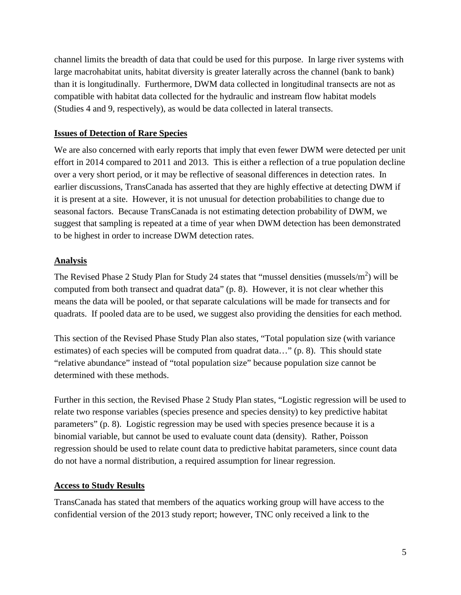channel limits the breadth of data that could be used for this purpose. In large river systems with large macrohabitat units, habitat diversity is greater laterally across the channel (bank to bank) than it is longitudinally. Furthermore, DWM data collected in longitudinal transects are not as compatible with habitat data collected for the hydraulic and instream flow habitat models (Studies 4 and 9, respectively), as would be data collected in lateral transects.

## **Issues of Detection of Rare Species**

We are also concerned with early reports that imply that even fewer DWM were detected per unit effort in 2014 compared to 2011 and 2013. This is either a reflection of a true population decline over a very short period, or it may be reflective of seasonal differences in detection rates. In earlier discussions, TransCanada has asserted that they are highly effective at detecting DWM if it is present at a site. However, it is not unusual for detection probabilities to change due to seasonal factors. Because TransCanada is not estimating detection probability of DWM, we suggest that sampling is repeated at a time of year when DWM detection has been demonstrated to be highest in order to increase DWM detection rates.

## **Analysis**

The Revised Phase 2 Study Plan for Study 24 states that "mussel densities (mussels/m<sup>2</sup>) will be computed from both transect and quadrat data" (p. 8). However, it is not clear whether this means the data will be pooled, or that separate calculations will be made for transects and for quadrats. If pooled data are to be used, we suggest also providing the densities for each method.

This section of the Revised Phase Study Plan also states, "Total population size (with variance estimates) of each species will be computed from quadrat data…" (p. 8). This should state "relative abundance" instead of "total population size" because population size cannot be determined with these methods.

Further in this section, the Revised Phase 2 Study Plan states, "Logistic regression will be used to relate two response variables (species presence and species density) to key predictive habitat parameters" (p. 8). Logistic regression may be used with species presence because it is a binomial variable, but cannot be used to evaluate count data (density). Rather, Poisson regression should be used to relate count data to predictive habitat parameters, since count data do not have a normal distribution, a required assumption for linear regression.

## **Access to Study Results**

TransCanada has stated that members of the aquatics working group will have access to the confidential version of the 2013 study report; however, TNC only received a link to the